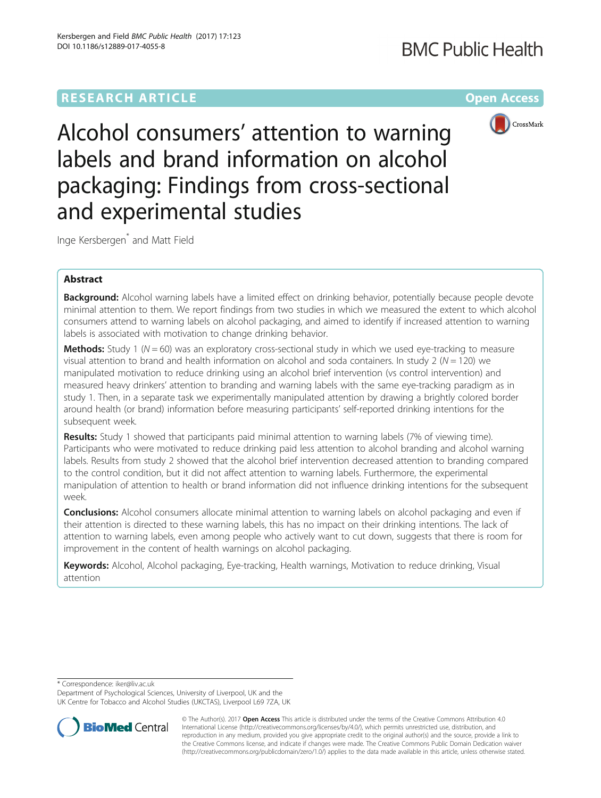# **RESEARCH ARTICLE Example 2014 12:30 The Community Community Community Community Community Community Community**



Alcohol consumers' attention to warning labels and brand information on alcohol packaging: Findings from cross-sectional and experimental studies

Inge Kersbergen\* and Matt Field

## Abstract

Background: Alcohol warning labels have a limited effect on drinking behavior, potentially because people devote minimal attention to them. We report findings from two studies in which we measured the extent to which alcohol consumers attend to warning labels on alcohol packaging, and aimed to identify if increased attention to warning labels is associated with motivation to change drinking behavior.

**Methods:** Study 1 ( $N = 60$ ) was an exploratory cross-sectional study in which we used eye-tracking to measure visual attention to brand and health information on alcohol and soda containers. In study 2 ( $N = 120$ ) we manipulated motivation to reduce drinking using an alcohol brief intervention (vs control intervention) and measured heavy drinkers' attention to branding and warning labels with the same eye-tracking paradigm as in study 1. Then, in a separate task we experimentally manipulated attention by drawing a brightly colored border around health (or brand) information before measuring participants' self-reported drinking intentions for the subsequent week.

Results: Study 1 showed that participants paid minimal attention to warning labels (7% of viewing time). Participants who were motivated to reduce drinking paid less attention to alcohol branding and alcohol warning labels. Results from study 2 showed that the alcohol brief intervention decreased attention to branding compared to the control condition, but it did not affect attention to warning labels. Furthermore, the experimental manipulation of attention to health or brand information did not influence drinking intentions for the subsequent week.

**Conclusions:** Alcohol consumers allocate minimal attention to warning labels on alcohol packaging and even if their attention is directed to these warning labels, this has no impact on their drinking intentions. The lack of attention to warning labels, even among people who actively want to cut down, suggests that there is room for improvement in the content of health warnings on alcohol packaging.

Keywords: Alcohol, Alcohol packaging, Eye-tracking, Health warnings, Motivation to reduce drinking, Visual attention

\* Correspondence: [iker@liv.ac.uk](mailto:iker@liv.ac.uk)

Department of Psychological Sciences, University of Liverpool, UK and the UK Centre for Tobacco and Alcohol Studies (UKCTAS), Liverpool L69 7ZA, UK



© The Author(s). 2017 **Open Access** This article is distributed under the terms of the Creative Commons Attribution 4.0 International License [\(http://creativecommons.org/licenses/by/4.0/](http://creativecommons.org/licenses/by/4.0/)), which permits unrestricted use, distribution, and reproduction in any medium, provided you give appropriate credit to the original author(s) and the source, provide a link to the Creative Commons license, and indicate if changes were made. The Creative Commons Public Domain Dedication waiver [\(http://creativecommons.org/publicdomain/zero/1.0/](http://creativecommons.org/publicdomain/zero/1.0/)) applies to the data made available in this article, unless otherwise stated.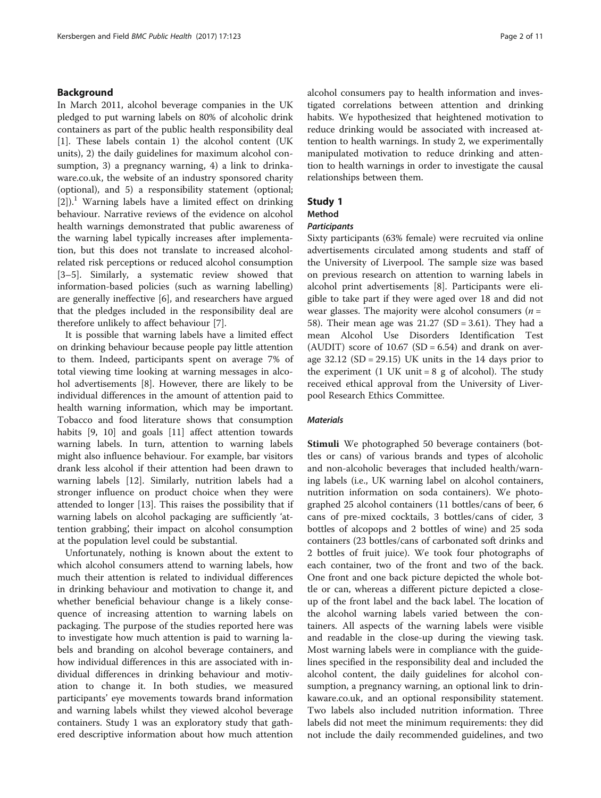### Background

In March 2011, alcohol beverage companies in the UK pledged to put warning labels on 80% of alcoholic drink containers as part of the public health responsibility deal [[1\]](#page-9-0). These labels contain 1) the alcohol content (UK units), 2) the daily guidelines for maximum alcohol consumption, 3) a pregnancy warning, 4) a link to drinkaware.co.uk, the website of an industry sponsored charity (optional), and 5) a responsibility statement (optional;  $[2]$  $[2]$ .<sup>1</sup> Warning labels have a limited effect on drinking behaviour. Narrative reviews of the evidence on alcohol health warnings demonstrated that public awareness of the warning label typically increases after implementation, but this does not translate to increased alcoholrelated risk perceptions or reduced alcohol consumption [[3](#page-10-0)–[5\]](#page-10-0). Similarly, a systematic review showed that information-based policies (such as warning labelling) are generally ineffective [\[6](#page-10-0)], and researchers have argued that the pledges included in the responsibility deal are therefore unlikely to affect behaviour [\[7](#page-10-0)].

It is possible that warning labels have a limited effect on drinking behaviour because people pay little attention to them. Indeed, participants spent on average 7% of total viewing time looking at warning messages in alcohol advertisements [[8\]](#page-10-0). However, there are likely to be individual differences in the amount of attention paid to health warning information, which may be important. Tobacco and food literature shows that consumption habits [[9, 10\]](#page-10-0) and goals [\[11\]](#page-10-0) affect attention towards warning labels. In turn, attention to warning labels might also influence behaviour. For example, bar visitors drank less alcohol if their attention had been drawn to warning labels [[12\]](#page-10-0). Similarly, nutrition labels had a stronger influence on product choice when they were attended to longer [\[13](#page-10-0)]. This raises the possibility that if warning labels on alcohol packaging are sufficiently 'attention grabbing', their impact on alcohol consumption at the population level could be substantial.

Unfortunately, nothing is known about the extent to which alcohol consumers attend to warning labels, how much their attention is related to individual differences in drinking behaviour and motivation to change it, and whether beneficial behaviour change is a likely consequence of increasing attention to warning labels on packaging. The purpose of the studies reported here was to investigate how much attention is paid to warning labels and branding on alcohol beverage containers, and how individual differences in this are associated with individual differences in drinking behaviour and motivation to change it. In both studies, we measured participants' eye movements towards brand information and warning labels whilst they viewed alcohol beverage containers. Study 1 was an exploratory study that gathered descriptive information about how much attention alcohol consumers pay to health information and investigated correlations between attention and drinking habits. We hypothesized that heightened motivation to reduce drinking would be associated with increased attention to health warnings. In study 2, we experimentally manipulated motivation to reduce drinking and attention to health warnings in order to investigate the causal relationships between them.

## Study 1

#### Method

#### **Participants**

Sixty participants (63% female) were recruited via online advertisements circulated among students and staff of the University of Liverpool. The sample size was based on previous research on attention to warning labels in alcohol print advertisements [\[8\]](#page-10-0). Participants were eligible to take part if they were aged over 18 and did not wear glasses. The majority were alcohol consumers  $(n =$ 58). Their mean age was 21.27 (SD = 3.61). They had a mean Alcohol Use Disorders Identification Test (AUDIT) score of  $10.67$  (SD = 6.54) and drank on average  $32.12$  (SD = 29.15) UK units in the 14 days prior to the experiment  $(1 \text{ UK unit} = 8 \text{ g of alcohol})$ . The study received ethical approval from the University of Liverpool Research Ethics Committee.

#### **Materials**

Stimuli We photographed 50 beverage containers (bottles or cans) of various brands and types of alcoholic and non-alcoholic beverages that included health/warning labels (i.e., UK warning label on alcohol containers, nutrition information on soda containers). We photographed 25 alcohol containers (11 bottles/cans of beer, 6 cans of pre-mixed cocktails, 3 bottles/cans of cider, 3 bottles of alcopops and 2 bottles of wine) and 25 soda containers (23 bottles/cans of carbonated soft drinks and 2 bottles of fruit juice). We took four photographs of each container, two of the front and two of the back. One front and one back picture depicted the whole bottle or can, whereas a different picture depicted a closeup of the front label and the back label. The location of the alcohol warning labels varied between the containers. All aspects of the warning labels were visible and readable in the close-up during the viewing task. Most warning labels were in compliance with the guidelines specified in the responsibility deal and included the alcohol content, the daily guidelines for alcohol consumption, a pregnancy warning, an optional link to drinkaware.co.uk, and an optional responsibility statement. Two labels also included nutrition information. Three labels did not meet the minimum requirements: they did not include the daily recommended guidelines, and two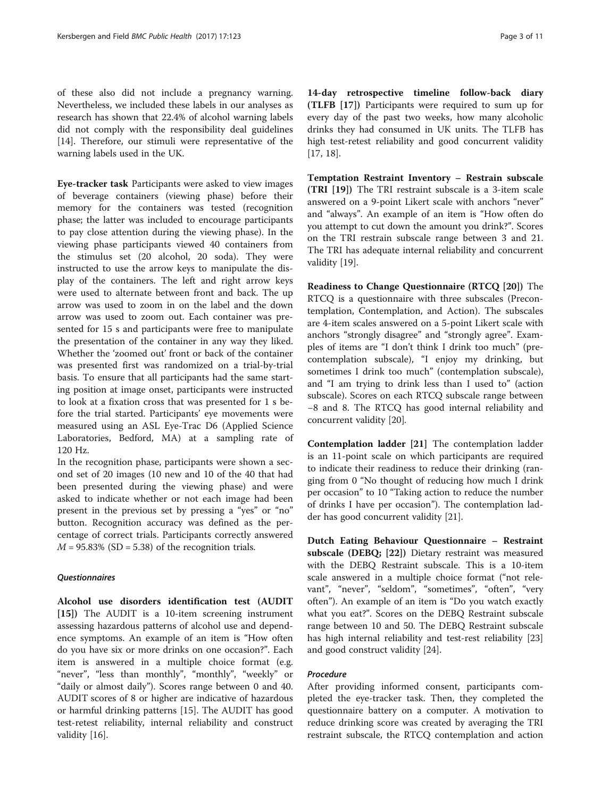of these also did not include a pregnancy warning. Nevertheless, we included these labels in our analyses as research has shown that 22.4% of alcohol warning labels did not comply with the responsibility deal guidelines [[14\]](#page-10-0). Therefore, our stimuli were representative of the warning labels used in the UK.

Eye-tracker task Participants were asked to view images of beverage containers (viewing phase) before their memory for the containers was tested (recognition phase; the latter was included to encourage participants to pay close attention during the viewing phase). In the viewing phase participants viewed 40 containers from the stimulus set (20 alcohol, 20 soda). They were instructed to use the arrow keys to manipulate the display of the containers. The left and right arrow keys were used to alternate between front and back. The up arrow was used to zoom in on the label and the down arrow was used to zoom out. Each container was presented for 15 s and participants were free to manipulate the presentation of the container in any way they liked. Whether the 'zoomed out' front or back of the container was presented first was randomized on a trial-by-trial basis. To ensure that all participants had the same starting position at image onset, participants were instructed to look at a fixation cross that was presented for 1 s before the trial started. Participants' eye movements were measured using an ASL Eye-Trac D6 (Applied Science Laboratories, Bedford, MA) at a sampling rate of 120 Hz.

In the recognition phase, participants were shown a second set of 20 images (10 new and 10 of the 40 that had been presented during the viewing phase) and were asked to indicate whether or not each image had been present in the previous set by pressing a "yes" or "no" button. Recognition accuracy was defined as the percentage of correct trials. Participants correctly answered  $M = 95.83\%$  (SD = 5.38) of the recognition trials.

#### **Questionnaires**

Alcohol use disorders identification test (AUDIT [[15](#page-10-0)]) The AUDIT is a 10-item screening instrument assessing hazardous patterns of alcohol use and dependence symptoms. An example of an item is "How often do you have six or more drinks on one occasion?". Each item is answered in a multiple choice format (e.g. "never", "less than monthly", "monthly", "weekly" or "daily or almost daily"). Scores range between 0 and 40. AUDIT scores of 8 or higher are indicative of hazardous or harmful drinking patterns [[15\]](#page-10-0). The AUDIT has good test-retest reliability, internal reliability and construct validity [\[16\]](#page-10-0).

14-day retrospective timeline follow-back diary (TLFB [\[17\]](#page-10-0)) Participants were required to sum up for every day of the past two weeks, how many alcoholic drinks they had consumed in UK units. The TLFB has high test-retest reliability and good concurrent validity [[17, 18\]](#page-10-0).

Temptation Restraint Inventory – Restrain subscale (TRI [\[19\]](#page-10-0)) The TRI restraint subscale is a 3-item scale answered on a 9-point Likert scale with anchors "never" and "always". An example of an item is "How often do you attempt to cut down the amount you drink?". Scores on the TRI restrain subscale range between 3 and 21. The TRI has adequate internal reliability and concurrent validity [\[19](#page-10-0)].

Readiness to Change Questionnaire (RTCQ [[20](#page-10-0)]) The RTCQ is a questionnaire with three subscales (Precontemplation, Contemplation, and Action). The subscales are 4-item scales answered on a 5-point Likert scale with anchors "strongly disagree" and "strongly agree". Examples of items are "I don't think I drink too much" (precontemplation subscale), "I enjoy my drinking, but sometimes I drink too much" (contemplation subscale), and "I am trying to drink less than I used to" (action subscale). Scores on each RTCQ subscale range between −8 and 8. The RTCQ has good internal reliability and concurrent validity [\[20\]](#page-10-0).

Contemplation ladder [[21](#page-10-0)] The contemplation ladder is an 11-point scale on which participants are required to indicate their readiness to reduce their drinking (ranging from 0 "No thought of reducing how much I drink per occasion" to 10 "Taking action to reduce the number of drinks I have per occasion"). The contemplation ladder has good concurrent validity [[21\]](#page-10-0).

Dutch Eating Behaviour Questionnaire – Restraint subscale (DEBQ; [[22](#page-10-0)]) Dietary restraint was measured with the DEBQ Restraint subscale. This is a 10-item scale answered in a multiple choice format ("not relevant", "never", "seldom", "sometimes", "often", "very often"). An example of an item is "Do you watch exactly what you eat?". Scores on the DEBQ Restraint subscale range between 10 and 50. The DEBQ Restraint subscale has high internal reliability and test-rest reliability [[23](#page-10-0)] and good construct validity [[24](#page-10-0)].

#### Procedure

After providing informed consent, participants completed the eye-tracker task. Then, they completed the questionnaire battery on a computer. A motivation to reduce drinking score was created by averaging the TRI restraint subscale, the RTCQ contemplation and action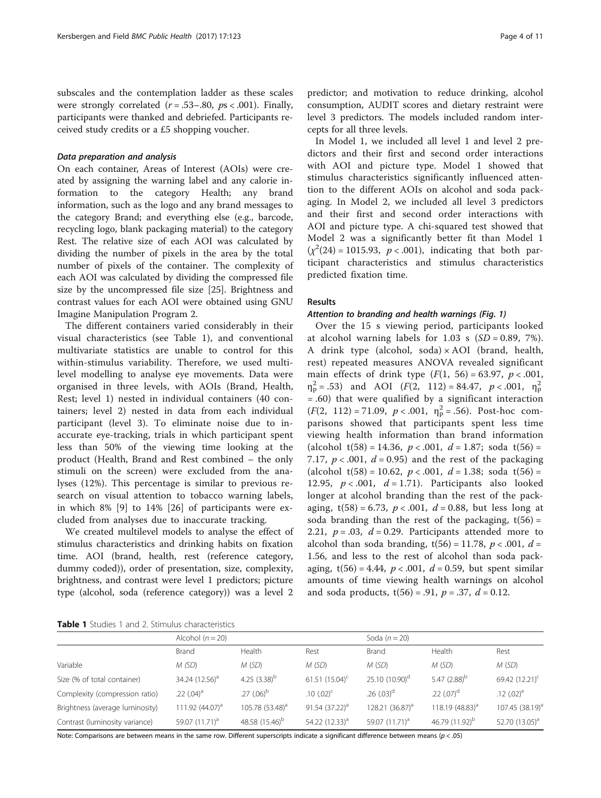subscales and the contemplation ladder as these scales were strongly correlated  $(r = .53 - .80, ps < .001)$ . Finally, participants were thanked and debriefed. Participants received study credits or a £5 shopping voucher.

#### Data preparation and analysis

On each container, Areas of Interest (AOIs) were created by assigning the warning label and any calorie information to the category Health; any brand information, such as the logo and any brand messages to the category Brand; and everything else (e.g., barcode, recycling logo, blank packaging material) to the category Rest. The relative size of each AOI was calculated by dividing the number of pixels in the area by the total number of pixels of the container. The complexity of each AOI was calculated by dividing the compressed file size by the uncompressed file size [\[25\]](#page-10-0). Brightness and contrast values for each AOI were obtained using GNU Imagine Manipulation Program 2.

The different containers varied considerably in their visual characteristics (see Table 1), and conventional multivariate statistics are unable to control for this within-stimulus variability. Therefore, we used multilevel modelling to analyse eye movements. Data were organised in three levels, with AOIs (Brand, Health, Rest; level 1) nested in individual containers (40 containers; level 2) nested in data from each individual participant (level 3). To eliminate noise due to inaccurate eye-tracking, trials in which participant spent less than 50% of the viewing time looking at the product (Health, Brand and Rest combined – the only stimuli on the screen) were excluded from the analyses (12%). This percentage is similar to previous research on visual attention to tobacco warning labels, in which 8% [[9\]](#page-10-0) to 14% [\[26](#page-10-0)] of participants were excluded from analyses due to inaccurate tracking.

We created multilevel models to analyse the effect of stimulus characteristics and drinking habits on fixation time. AOI (brand, health, rest (reference category, dummy coded)), order of presentation, size, complexity, brightness, and contrast were level 1 predictors; picture type (alcohol, soda (reference category)) was a level 2

In Model 1, we included all level 1 and level 2 predictors and their first and second order interactions with AOI and picture type. Model 1 showed that stimulus characteristics significantly influenced attention to the different AOIs on alcohol and soda packaging. In Model 2, we included all level 3 predictors and their first and second order interactions with AOI and picture type. A chi-squared test showed that Model 2 was a significantly better fit than Model 1  $(\chi^2(24) = 1015.93, p < .001)$ , indicating that both participant characteristics and stimulus characteristics predicted fixation time.

### Results

#### Attention to branding and health warnings (Fig. [1](#page-4-0))

Over the 15 s viewing period, participants looked at alcohol warning labels for 1.03 s  $(SD = 0.89, 7\%)$ . A drink type (alcohol, soda) × AOI (brand, health, rest) repeated measures ANOVA revealed significant main effects of drink type  $(F(1, 56) = 63.97, p < .001,$  $\eta_{\rm p}^2$  = .53) and AOI (*F*(2, 112) = 84.47, *p* < .001,  $\eta_{\rm p}^2$ = .60) that were qualified by a significant interaction  $(F(2, 112) = 71.09, p < .001, \eta_{p}^{2} = .56)$ . Post-hoc comparisons showed that participants spent less time viewing health information than brand information (alcohol t(58) = 14.36,  $p < .001$ ,  $d = 1.87$ ; soda t(56) = 7.17,  $p < .001$ ,  $d = 0.95$ ) and the rest of the packaging (alcohol t(58) = 10.62,  $p < .001$ ,  $d = 1.38$ ; soda t(56) = 12.95,  $p < .001$ ,  $d = 1.71$ ). Participants also looked longer at alcohol branding than the rest of the packaging,  $t(58) = 6.73$ ,  $p < .001$ ,  $d = 0.88$ , but less long at soda branding than the rest of the packaging,  $t(56) =$ 2.21,  $p = .03$ ,  $d = 0.29$ . Participants attended more to alcohol than soda branding,  $t(56) = 11.78$ ,  $p < .001$ ,  $d =$ 1.56, and less to the rest of alcohol than soda packaging,  $t(56) = 4.44$ ,  $p < .001$ ,  $d = 0.59$ , but spent similar amounts of time viewing health warnings on alcohol and soda products,  $t(56) = .91$ ,  $p = .37$ ,  $d = 0.12$ .

Table 1 Studies 1 and 2. Stimulus characteristics

|                                 | Alcohol $(n = 20)$         |                             |                   | Soda $(n=20)$               |                            |                            |
|---------------------------------|----------------------------|-----------------------------|-------------------|-----------------------------|----------------------------|----------------------------|
|                                 | Brand                      | Health                      | Rest              | Brand                       | Health                     | Rest                       |
| Variable                        | M (SD)                     | M (SD)                      | M(SD)             | M(SD)                       | M(SD)                      | M (SD)                     |
| Size (% of total container)     | 34.24 (12.56) <sup>a</sup> | 4.25 $(3.38)^b$             | 61.51 $(15.04)^c$ | $25.10(10.90)^d$            | 5.47 $(2.88)^b$            | 69.42 $(12.21)^c$          |
| Complexity (compression ratio)  | .22 $(.04)^{a}$            | $.27$ (.06) <sup>b</sup>    | .10 $(.02)^c$     | $.26$ (.03) <sup>d</sup>    | $.22$ $(.07)^d$            | .12 $(.02)^e$              |
| Brightness (average luminosity) | 111.92 $(44.07)^{a}$       | 105.78 (53.48) <sup>a</sup> | $91.54(37.22)^a$  | 128.21 (36.87) <sup>a</sup> | 118.19 $(48.83)^a$         | $107.45(38.19)^{a}$        |
| Contrast (luminosity variance)  | 59.07 (11.71) <sup>a</sup> | 48.58 (15.46) <sup>b</sup>  | 54.22 $(12.33)^a$ | 59.07 (11.71) <sup>a</sup>  | 46.79 (11.92) <sup>b</sup> | 52.70 (13.05) <sup>a</sup> |

Note: Comparisons are between means in the same row. Different superscripts indicate a significant difference between means (p < .05)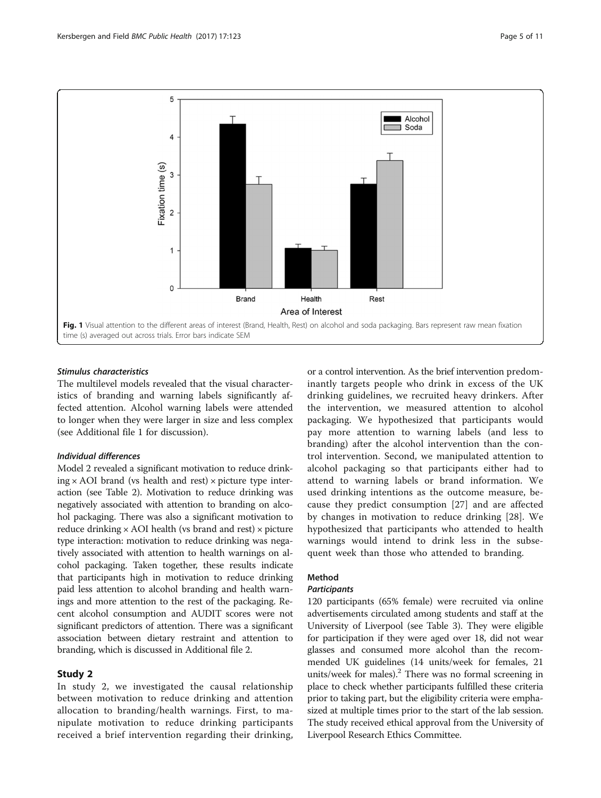<span id="page-4-0"></span>

## Stimulus characteristics

The multilevel models revealed that the visual characteristics of branding and warning labels significantly affected attention. Alcohol warning labels were attended to longer when they were larger in size and less complex (see Additional file [1](#page-9-0) for discussion).

## Individual differences

Model 2 revealed a significant motivation to reduce drink $ing \times AOI$  brand (vs health and rest)  $\times$  picture type interaction (see Table [2\)](#page-5-0). Motivation to reduce drinking was negatively associated with attention to branding on alcohol packaging. There was also a significant motivation to reduce drinking  $\times$  AOI health (vs brand and rest)  $\times$  picture type interaction: motivation to reduce drinking was negatively associated with attention to health warnings on alcohol packaging. Taken together, these results indicate that participants high in motivation to reduce drinking paid less attention to alcohol branding and health warnings and more attention to the rest of the packaging. Recent alcohol consumption and AUDIT scores were not significant predictors of attention. There was a significant association between dietary restraint and attention to branding, which is discussed in Additional file [2.](#page-9-0)

#### Study 2

In study 2, we investigated the causal relationship between motivation to reduce drinking and attention allocation to branding/health warnings. First, to manipulate motivation to reduce drinking participants received a brief intervention regarding their drinking,

or a control intervention. As the brief intervention predominantly targets people who drink in excess of the UK drinking guidelines, we recruited heavy drinkers. After the intervention, we measured attention to alcohol packaging. We hypothesized that participants would pay more attention to warning labels (and less to branding) after the alcohol intervention than the control intervention. Second, we manipulated attention to alcohol packaging so that participants either had to attend to warning labels or brand information. We used drinking intentions as the outcome measure, because they predict consumption [[27\]](#page-10-0) and are affected by changes in motivation to reduce drinking [[28\]](#page-10-0). We hypothesized that participants who attended to health warnings would intend to drink less in the subsequent week than those who attended to branding.

## Method

### **Participants**

120 participants (65% female) were recruited via online advertisements circulated among students and staff at the University of Liverpool (see Table [3](#page-5-0)). They were eligible for participation if they were aged over 18, did not wear glasses and consumed more alcohol than the recommended UK guidelines (14 units/week for females, 21 units/week for males). $^{2}$  There was no formal screening in place to check whether participants fulfilled these criteria prior to taking part, but the eligibility criteria were emphasized at multiple times prior to the start of the lab session. The study received ethical approval from the University of Liverpool Research Ethics Committee.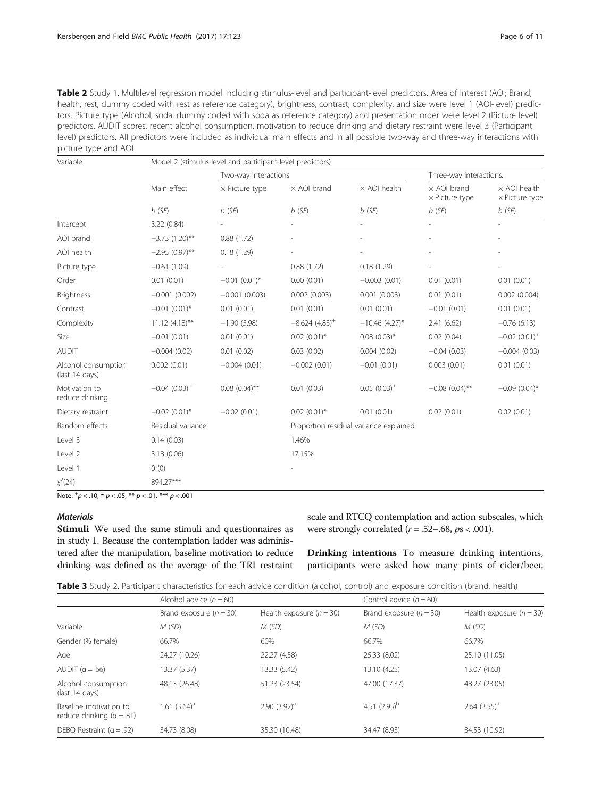<span id="page-5-0"></span>Table 2 Study 1. Multilevel regression model including stimulus-level and participant-level predictors. Area of Interest (AOI; Brand, health, rest, dummy coded with rest as reference category), brightness, contrast, complexity, and size were level 1 (AOI-level) predictors. Picture type (Alcohol, soda, dummy coded with soda as reference category) and presentation order were level 2 (Picture level) predictors. AUDIT scores, recent alcohol consumption, motivation to reduce drinking and dietary restraint were level 3 (Participant level) predictors. All predictors were included as individual main effects and in all possible two-way and three-way interactions with picture type and AOI

| Variable                              | Model 2 (stimulus-level and participant-level predictors) |                                   |                                        |                         |                                                         |                                              |  |
|---------------------------------------|-----------------------------------------------------------|-----------------------------------|----------------------------------------|-------------------------|---------------------------------------------------------|----------------------------------------------|--|
|                                       |                                                           | Two-way interactions              |                                        | Three-way interactions. |                                                         |                                              |  |
|                                       | Main effect                                               | $\times$ Picture type<br>$b$ (SE) | $\times$ AOI brand<br>$b$ (SE)         | $\times$ AOI health     | $\times$ AOI brand<br>$\times$ Picture type<br>$b$ (SE) | $\times$ AOI health<br>$\times$ Picture type |  |
|                                       | $b$ (SE)                                                  |                                   |                                        | $b$ (SE)                |                                                         | $b$ (SE)                                     |  |
| Intercept                             | 3.22(0.84)                                                |                                   | $\overline{\phantom{a}}$               |                         |                                                         |                                              |  |
| AOI brand                             | $-3.73(1.20)$ **                                          | 0.88(1.72)                        |                                        |                         |                                                         |                                              |  |
| AOI health                            | $-2.95(0.97)$ **                                          | 0.18(1.29)                        |                                        |                         |                                                         |                                              |  |
| Picture type                          | $-0.61(1.09)$                                             |                                   | 0.88(1.72)                             | 0.18(1.29)              |                                                         |                                              |  |
| Order                                 | 0.01(0.01)                                                | $-0.01(0.01)^*$                   | 0.00(0.01)                             | $-0.003(0.01)$          | 0.01(0.01)                                              | 0.01(0.01)                                   |  |
| <b>Brightness</b>                     | $-0.001(0.002)$                                           | $-0.001(0.003)$                   | 0.002(0.003)                           | 0.001(0.003)            | 0.01(0.01)                                              | 0.002(0.004)                                 |  |
| Contrast                              | $-0.01(0.01)$ *                                           | 0.01(0.01)                        | 0.01(0.01)                             | 0.01(0.01)              | $-0.01(0.01)$                                           | 0.01(0.01)                                   |  |
| Complexity                            | $11.12 (4.18)$ **                                         | $-1.90(5.98)$                     | $-8.624(4.83)^+$                       | $-10.46$ (4.27)*        | 2.41(6.62)                                              | $-0.76(6.13)$                                |  |
| Size                                  | $-0.01(0.01)$                                             | 0.01(0.01)                        | $0.02$ $(0.01)^*$                      | $0.08(0.03)$ *          | 0.02(0.04)                                              | $-0.02(0.01)^+$                              |  |
| <b>AUDIT</b>                          | $-0.004(0.02)$                                            | 0.01(0.02)                        | 0.03(0.02)                             | 0.004(0.02)             | $-0.04(0.03)$                                           | $-0.004(0.03)$                               |  |
| Alcohol consumption<br>(last 14 days) | 0.002(0.01)                                               | $-0.004(0.01)$                    | $-0.002(0.01)$                         | $-0.01(0.01)$           | 0.003(0.01)                                             | 0.01(0.01)                                   |  |
| Motivation to<br>reduce drinking      | $-0.04(0.03)^{+}$                                         | $0.08$ $(0.04)$ **                | 0.01(0.03)                             | $0.05(0.03)^+$          | $-0.08(0.04)$ **                                        | $-0.09(0.04)$ *                              |  |
| Dietary restraint                     | $-0.02$ (0.01)*                                           | $-0.02(0.01)$                     | $0.02$ (0.01)*                         | 0.01(0.01)              | 0.02(0.01)                                              | 0.02(0.01)                                   |  |
| Random effects                        | Residual variance                                         |                                   | Proportion residual variance explained |                         |                                                         |                                              |  |
| Level 3                               | 0.14(0.03)                                                |                                   | 1.46%                                  |                         |                                                         |                                              |  |
| Level 2                               | 3.18(0.06)                                                |                                   | 17.15%                                 |                         |                                                         |                                              |  |
| Level 1                               | 0(0)                                                      |                                   |                                        |                         |                                                         |                                              |  |
| $\chi^2(24)$                          | 894.27***                                                 |                                   |                                        |                         |                                                         |                                              |  |

Note:  $^{+}p$  < .10,  $^{*}p$  < .05,  $^{**}p$  < .01,  $^{***}p$  < .001

## **Materials**

Stimuli We used the same stimuli and questionnaires as in study 1. Because the contemplation ladder was administered after the manipulation, baseline motivation to reduce drinking was defined as the average of the TRI restraint

scale and RTCQ contemplation and action subscales, which were strongly correlated  $(r = .52-.68, ps < .001)$ .

Drinking intentions To measure drinking intentions, participants were asked how many pints of cider/beer,

|                                                       | Alcohol advice $(n = 60)$ |                            | Control advice $(n = 60)$ |                            |  |
|-------------------------------------------------------|---------------------------|----------------------------|---------------------------|----------------------------|--|
|                                                       | Brand exposure $(n = 30)$ | Health exposure $(n = 30)$ | Brand exposure $(n = 30)$ | Health exposure $(n = 30)$ |  |
| Variable                                              | M(SD)                     | M(SD)                      | M(SD)                     | M(SD)                      |  |
| Gender (% female)                                     | 66.7%                     | 60%                        | 66.7%                     | 66.7%                      |  |
| Age                                                   | 24.27 (10.26)             | 22.27 (4.58)               | 25.33 (8.02)              | 25.10 (11.05)              |  |
| AUDIT $(a = .66)$                                     | 13.37 (5.37)              | 13.33 (5.42)               | 13.10 (4.25)              | 13.07 (4.63)               |  |
| Alcohol consumption<br>(last 14 days)                 | 48.13 (26.48)             | 51.23 (23.54)              | 47.00 (17.37)             | 48.27 (23.05)              |  |
| Baseline motivation to<br>reduce drinking $(a = .81)$ | 1.61 $(3.64)^a$           | 2.90 $(3.92)^a$            | 4.51 $(2.95)^b$           | $2.64$ $(3.55)^a$          |  |
| DEBQ Restraint $(a = .92)$                            | 34.73 (8.08)              | 35.30 (10.48)              | 34.47 (8.93)              | 34.53 (10.92)              |  |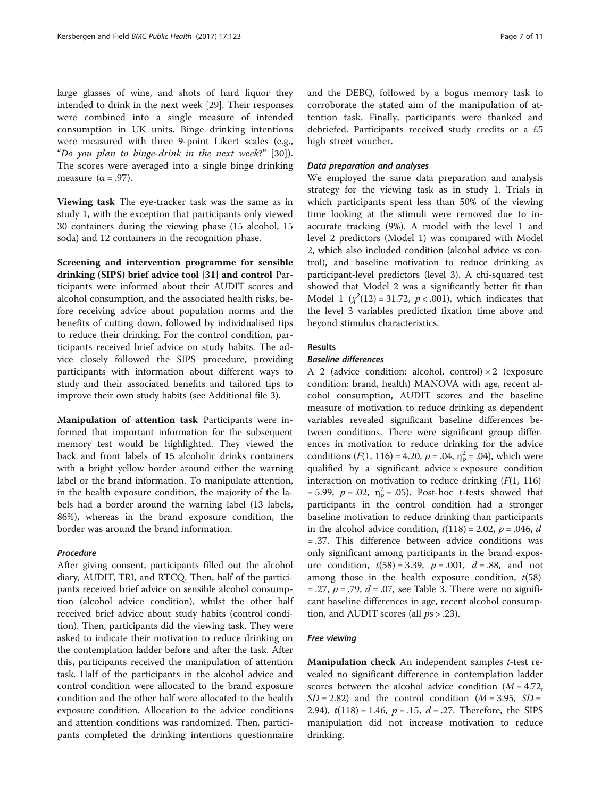large glasses of wine, and shots of hard liquor they intended to drink in the next week [\[29\]](#page-10-0). Their responses were combined into a single measure of intended consumption in UK units. Binge drinking intentions were measured with three 9-point Likert scales (e.g., "Do you plan to binge-drink in the next week?" [[30\]](#page-10-0)). The scores were averaged into a single binge drinking measure  $(\alpha = .97)$ .

Viewing task The eye-tracker task was the same as in study 1, with the exception that participants only viewed 30 containers during the viewing phase (15 alcohol, 15 soda) and 12 containers in the recognition phase.

Screening and intervention programme for sensible drinking (SIPS) brief advice tool [\[31\]](#page-10-0) and control Participants were informed about their AUDIT scores and alcohol consumption, and the associated health risks, before receiving advice about population norms and the benefits of cutting down, followed by individualised tips to reduce their drinking. For the control condition, participants received brief advice on study habits. The advice closely followed the SIPS procedure, providing participants with information about different ways to study and their associated benefits and tailored tips to improve their own study habits (see Additional file [3\)](#page-9-0).

Manipulation of attention task Participants were informed that important information for the subsequent memory test would be highlighted. They viewed the back and front labels of 15 alcoholic drinks containers with a bright yellow border around either the warning label or the brand information. To manipulate attention, in the health exposure condition, the majority of the labels had a border around the warning label (13 labels, 86%), whereas in the brand exposure condition, the border was around the brand information.

#### Procedure

After giving consent, participants filled out the alcohol diary, AUDIT, TRI, and RTCQ. Then, half of the participants received brief advice on sensible alcohol consumption (alcohol advice condition), whilst the other half received brief advice about study habits (control condition). Then, participants did the viewing task. They were asked to indicate their motivation to reduce drinking on the contemplation ladder before and after the task. After this, participants received the manipulation of attention task. Half of the participants in the alcohol advice and control condition were allocated to the brand exposure condition and the other half were allocated to the health exposure condition. Allocation to the advice conditions and attention conditions was randomized. Then, participants completed the drinking intentions questionnaire and the DEBQ, followed by a bogus memory task to corroborate the stated aim of the manipulation of attention task. Finally, participants were thanked and debriefed. Participants received study credits or a £5 high street voucher.

#### Data preparation and analyses

We employed the same data preparation and analysis strategy for the viewing task as in study 1. Trials in which participants spent less than 50% of the viewing time looking at the stimuli were removed due to inaccurate tracking (9%). A model with the level 1 and level 2 predictors (Model 1) was compared with Model 2, which also included condition (alcohol advice vs control), and baseline motivation to reduce drinking as participant-level predictors (level 3). A chi-squared test showed that Model 2 was a significantly better fit than Model 1  $(x^2(12) = 31.72, p < .001)$ , which indicates that the level 3 variables predicted fixation time above and beyond stimulus characteristics.

### Results

#### Baseline differences

A 2 (advice condition: alcohol, control)  $\times$  2 (exposure condition: brand, health) MANOVA with age, recent alcohol consumption, AUDIT scores and the baseline measure of motivation to reduce drinking as dependent variables revealed significant baseline differences between conditions. There were significant group differences in motivation to reduce drinking for the advice conditions  $(F(1, 116) = 4.20, p = .04, \eta_{\rm p}^2 = .04)$ , which were qualified by a significant advice × exposure condition interaction on motivation to reduce drinking  $(F(1, 116))$ = 5.99,  $p = .02$ ,  $\eta_p^2 = .05$ ). Post-hoc t-tests showed that participants in the control condition had a stronger baseline motivation to reduce drinking than participants in the alcohol advice condition,  $t(118) = 2.02$ ,  $p = .046$ , d = .37. This difference between advice conditions was only significant among participants in the brand exposure condition,  $t(58) = 3.39$ ,  $p = .001$ ,  $d = .88$ , and not among those in the health exposure condition,  $t(58)$  $= .27, p = .79, d = .07$ , see Table [3.](#page-5-0) There were no significant baseline differences in age, recent alcohol consumption, and AUDIT scores (all  $ps > .23$ ).

#### Free viewing

Manipulation check An independent samples t-test revealed no significant difference in contemplation ladder scores between the alcohol advice condition  $(M = 4.72)$ ,  $SD = 2.82$ ) and the control condition ( $M = 3.95$ ,  $SD =$ 2.94),  $t(118) = 1.46$ ,  $p = .15$ ,  $d = .27$ . Therefore, the SIPS manipulation did not increase motivation to reduce drinking.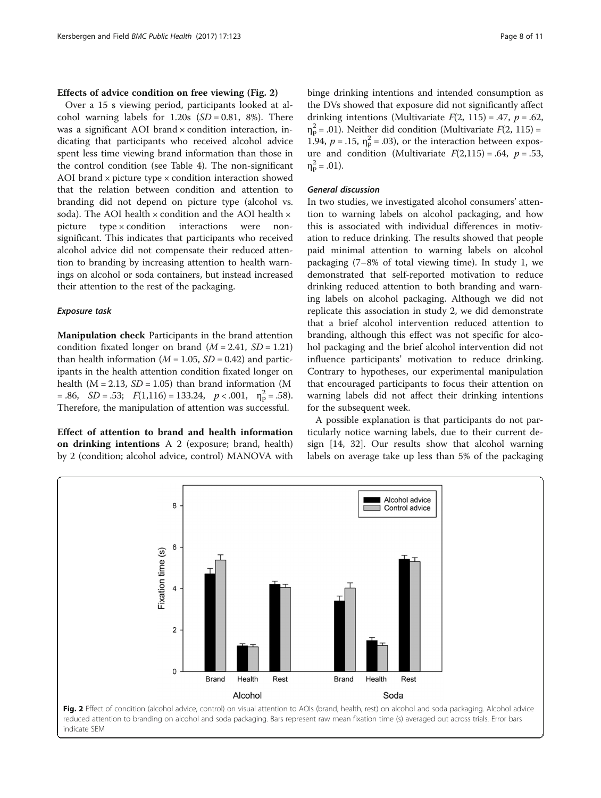#### Effects of advice condition on free viewing (Fig. 2)

Over a 15 s viewing period, participants looked at alcohol warning labels for  $1.20s$  (*SD* = 0.81, 8%). There was a significant AOI brand × condition interaction, indicating that participants who received alcohol advice spent less time viewing brand information than those in the control condition (see Table [4\)](#page-8-0). The non-significant AOI brand  $\times$  picture type  $\times$  condition interaction showed that the relation between condition and attention to branding did not depend on picture type (alcohol vs. soda). The AOI health × condition and the AOI health × picture type × condition interactions were nonsignificant. This indicates that participants who received alcohol advice did not compensate their reduced attention to branding by increasing attention to health warnings on alcohol or soda containers, but instead increased their attention to the rest of the packaging.

#### Exposure task

Manipulation check Participants in the brand attention condition fixated longer on brand  $(M = 2.41, SD = 1.21)$ than health information ( $M = 1.05$ ,  $SD = 0.42$ ) and participants in the health attention condition fixated longer on health ( $M = 2.13$ ,  $SD = 1.05$ ) than brand information (M  $= .86, \quad SD = .53; \quad F(1,116) = 133.24, \quad p < .001, \quad \eta_p^2 = .58.$ Therefore, the manipulation of attention was successful.

Effect of attention to brand and health information on drinking intentions A 2 (exposure; brand, health) by 2 (condition; alcohol advice, control) MANOVA with binge drinking intentions and intended consumption as the DVs showed that exposure did not significantly affect drinking intentions (Multivariate  $F(2, 115) = .47$ ,  $p = .62$ ,  $\eta_{\rm p}^2$  = .01). Neither did condition (Multivariate  $F(2, 115)$  = 1.94,  $p = .15$ ,  $\eta_p^2 = .03$ ), or the interaction between exposure and condition (Multivariate  $F(2,115) = .64$ ,  $p = .53$ ,  $\eta_P^2 = .01$ ).

#### General discussion

In two studies, we investigated alcohol consumers' attention to warning labels on alcohol packaging, and how this is associated with individual differences in motivation to reduce drinking. The results showed that people paid minimal attention to warning labels on alcohol packaging (7–8% of total viewing time). In study 1, we demonstrated that self-reported motivation to reduce drinking reduced attention to both branding and warning labels on alcohol packaging. Although we did not replicate this association in study 2, we did demonstrate that a brief alcohol intervention reduced attention to branding, although this effect was not specific for alcohol packaging and the brief alcohol intervention did not influence participants' motivation to reduce drinking. Contrary to hypotheses, our experimental manipulation that encouraged participants to focus their attention on warning labels did not affect their drinking intentions for the subsequent week.

A possible explanation is that participants do not particularly notice warning labels, due to their current design [[14, 32](#page-10-0)]. Our results show that alcohol warning labels on average take up less than 5% of the packaging

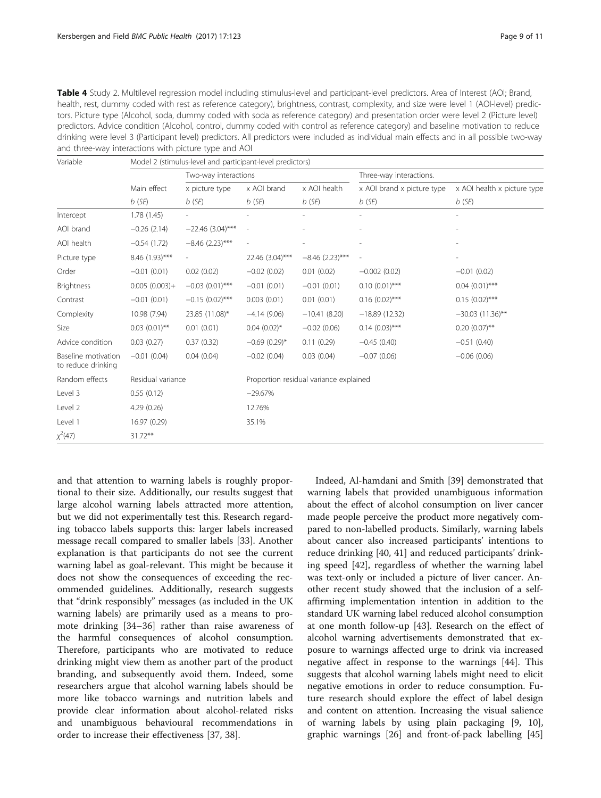<span id="page-8-0"></span>Table 4 Study 2. Multilevel regression model including stimulus-level and participant-level predictors. Area of Interest (AOI; Brand, health, rest, dummy coded with rest as reference category), brightness, contrast, complexity, and size were level 1 (AOI-level) predictors. Picture type (Alcohol, soda, dummy coded with soda as reference category) and presentation order were level 2 (Picture level) predictors. Advice condition (Alcohol, control, dummy coded with control as reference category) and baseline motivation to reduce drinking were level 3 (Participant level) predictors. All predictors were included as individual main effects and in all possible two-way and three-way interactions with picture type and AOI

| Variable                                  | Model 2 (stimulus-level and participant-level predictors) |                      |                                        |                          |                            |                             |  |
|-------------------------------------------|-----------------------------------------------------------|----------------------|----------------------------------------|--------------------------|----------------------------|-----------------------------|--|
|                                           |                                                           | Two-way interactions |                                        |                          | Three-way interactions.    |                             |  |
|                                           | Main effect<br>$b$ (SE)                                   | x picture type       | x AOI brand                            | x AOI health<br>$b$ (SE) | x AOI brand x picture type | x AOI health x picture type |  |
|                                           |                                                           | $b$ (SE)             | $b$ (SE)                               |                          | $b$ (SE)                   | $b$ (SE)                    |  |
| Intercept                                 | 1.78(1.45)                                                |                      |                                        |                          |                            |                             |  |
| AOI brand                                 | $-0.26(2.14)$                                             | $-22.46$ (3.04)***   |                                        |                          |                            |                             |  |
| AOI health                                | $-0.54(1.72)$                                             | $-8.46$ (2.23)***    | ٠                                      |                          |                            | $\overline{a}$              |  |
| Picture type                              | 8.46 (1.93)***                                            | $\sim$               | 22.46 (3.04)***                        | $-8.46$ (2.23)***        | $\overline{\phantom{a}}$   | ÷,                          |  |
| Order                                     | $-0.01(0.01)$                                             | 0.02(0.02)           | $-0.02(0.02)$                          | 0.01(0.02)               | $-0.002(0.02)$             | $-0.01(0.02)$               |  |
| <b>Brightness</b>                         | $0.005(0.003) +$                                          | $-0.03$ (0.01)***    | $-0.01(0.01)$                          | $-0.01(0.01)$            | $0.10(0.01)$ ***           | $0.04$ $(0.01)$ ***         |  |
| Contrast                                  | $-0.01(0.01)$                                             | $-0.15(0.02)$ ***    | 0.003(0.01)                            | 0.01(0.01)               | $0.16(0.02)$ ***           | $0.15(0.02)$ ***            |  |
| Complexity                                | 10.98 (7.94)                                              | 23.85 (11.08)*       | $-4.14(9.06)$                          | $-10.41(8.20)$           | $-18.89(12.32)$            | $-30.03(11.36)$ **          |  |
| Size                                      | $0.03$ $(0.01)$ **                                        | 0.01(0.01)           | $0.04(0.02)$ *                         | $-0.02(0.06)$            | $0.14$ $(0.03)$ ***        | $0.20(0.07)$ **             |  |
| Advice condition                          | 0.03(0.27)                                                | 0.37(0.32)           | $-0.69(0.29)$ *                        | 0.11(0.29)               | $-0.45(0.40)$              | $-0.51(0.40)$               |  |
| Baseline motivation<br>to reduce drinking | $-0.01(0.04)$                                             | 0.04(0.04)           | $-0.02(0.04)$                          | 0.03(0.04)               | $-0.07(0.06)$              | $-0.06(0.06)$               |  |
| Random effects                            | Residual variance                                         |                      | Proportion residual variance explained |                          |                            |                             |  |
| Level 3                                   | 0.55(0.12)                                                |                      | $-29.67%$                              |                          |                            |                             |  |
| Level 2                                   | 4.29(0.26)                                                |                      | 12.76%                                 |                          |                            |                             |  |
| Level 1                                   | 16.97 (0.29)                                              |                      | 35.1%                                  |                          |                            |                             |  |
| $\chi^2(47)$                              | $31.72**$                                                 |                      |                                        |                          |                            |                             |  |

and that attention to warning labels is roughly proportional to their size. Additionally, our results suggest that large alcohol warning labels attracted more attention, but we did not experimentally test this. Research regarding tobacco labels supports this: larger labels increased message recall compared to smaller labels [[33\]](#page-10-0). Another explanation is that participants do not see the current warning label as goal-relevant. This might be because it does not show the consequences of exceeding the recommended guidelines. Additionally, research suggests that "drink responsibly" messages (as included in the UK warning labels) are primarily used as a means to promote drinking [\[34](#page-10-0)–[36\]](#page-10-0) rather than raise awareness of the harmful consequences of alcohol consumption. Therefore, participants who are motivated to reduce drinking might view them as another part of the product branding, and subsequently avoid them. Indeed, some researchers argue that alcohol warning labels should be more like tobacco warnings and nutrition labels and provide clear information about alcohol-related risks and unambiguous behavioural recommendations in order to increase their effectiveness [\[37, 38\]](#page-10-0).

Indeed, Al-hamdani and Smith [[39\]](#page-10-0) demonstrated that warning labels that provided unambiguous information about the effect of alcohol consumption on liver cancer made people perceive the product more negatively compared to non-labelled products. Similarly, warning labels about cancer also increased participants' intentions to reduce drinking [[40, 41\]](#page-10-0) and reduced participants' drinking speed [[42\]](#page-10-0), regardless of whether the warning label was text-only or included a picture of liver cancer. Another recent study showed that the inclusion of a selfaffirming implementation intention in addition to the standard UK warning label reduced alcohol consumption at one month follow-up [\[43\]](#page-10-0). Research on the effect of alcohol warning advertisements demonstrated that exposure to warnings affected urge to drink via increased negative affect in response to the warnings [\[44](#page-10-0)]. This suggests that alcohol warning labels might need to elicit negative emotions in order to reduce consumption. Future research should explore the effect of label design and content on attention. Increasing the visual salience of warning labels by using plain packaging [[9, 10](#page-10-0)], graphic warnings [\[26](#page-10-0)] and front-of-pack labelling [[45](#page-10-0)]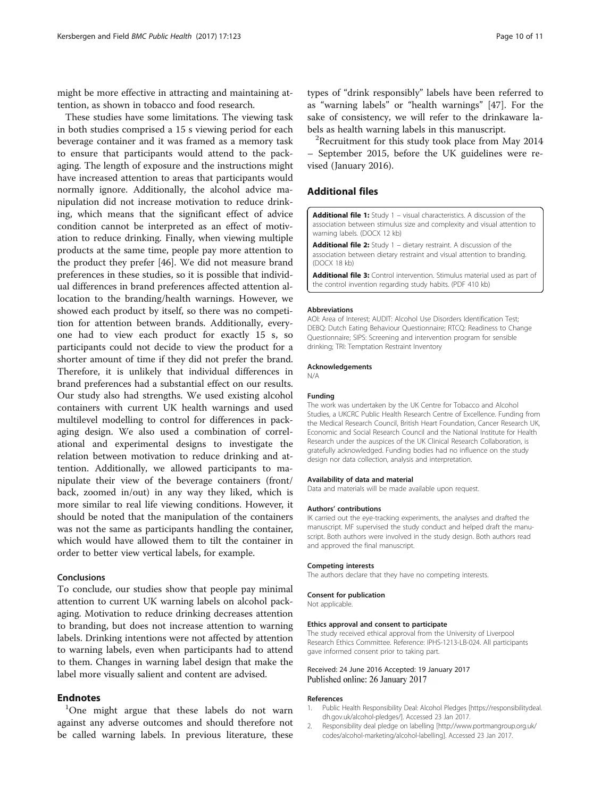<span id="page-9-0"></span>might be more effective in attracting and maintaining attention, as shown in tobacco and food research.

These studies have some limitations. The viewing task in both studies comprised a 15 s viewing period for each beverage container and it was framed as a memory task to ensure that participants would attend to the packaging. The length of exposure and the instructions might have increased attention to areas that participants would normally ignore. Additionally, the alcohol advice manipulation did not increase motivation to reduce drinking, which means that the significant effect of advice condition cannot be interpreted as an effect of motivation to reduce drinking. Finally, when viewing multiple products at the same time, people pay more attention to the product they prefer [[46\]](#page-10-0). We did not measure brand preferences in these studies, so it is possible that individual differences in brand preferences affected attention allocation to the branding/health warnings. However, we showed each product by itself, so there was no competition for attention between brands. Additionally, everyone had to view each product for exactly 15 s, so participants could not decide to view the product for a shorter amount of time if they did not prefer the brand. Therefore, it is unlikely that individual differences in brand preferences had a substantial effect on our results. Our study also had strengths. We used existing alcohol containers with current UK health warnings and used multilevel modelling to control for differences in packaging design. We also used a combination of correlational and experimental designs to investigate the relation between motivation to reduce drinking and attention. Additionally, we allowed participants to manipulate their view of the beverage containers (front/ back, zoomed in/out) in any way they liked, which is more similar to real life viewing conditions. However, it should be noted that the manipulation of the containers was not the same as participants handling the container, which would have allowed them to tilt the container in order to better view vertical labels, for example.

### Conclusions

To conclude, our studies show that people pay minimal attention to current UK warning labels on alcohol packaging. Motivation to reduce drinking decreases attention to branding, but does not increase attention to warning labels. Drinking intentions were not affected by attention to warning labels, even when participants had to attend to them. Changes in warning label design that make the label more visually salient and content are advised.

#### **Endnotes**

<sup>1</sup>One might argue that these labels do not warn against any adverse outcomes and should therefore not be called warning labels. In previous literature, these bels as health warning labels in this manuscript.  $2R$ ecruitment for this study took place from May 2014 – September 2015, before the UK guidelines were revised (January 2016).

### Additional files

[Additional file 1:](dx.doi.org/10.1186/s12889-017-4055-8) Study 1 - visual characteristics. A discussion of the association between stimulus size and complexity and visual attention to warning labels. (DOCX 12 kb)

[Additional file 2:](dx.doi.org/10.1186/s12889-017-4055-8) Study 1 - dietary restraint. A discussion of the association between dietary restraint and visual attention to branding. (DOCX 18 kb)

[Additional file 3:](dx.doi.org/10.1186/s12889-017-4055-8) Control intervention. Stimulus material used as part of the control invention regarding study habits. (PDF 410 kb)

#### Abbreviations

AOI: Area of Interest; AUDIT: Alcohol Use Disorders Identification Test; DEBQ: Dutch Eating Behaviour Questionnaire; RTCQ: Readiness to Change Questionnaire; SIPS: Screening and intervention program for sensible drinking; TRI: Temptation Restraint Inventory

#### Acknowledgements

N/A

#### Funding

The work was undertaken by the UK Centre for Tobacco and Alcohol Studies, a UKCRC Public Health Research Centre of Excellence. Funding from the Medical Research Council, British Heart Foundation, Cancer Research UK, Economic and Social Research Council and the National Institute for Health Research under the auspices of the UK Clinical Research Collaboration, is gratefully acknowledged. Funding bodies had no influence on the study design nor data collection, analysis and interpretation.

#### Availability of data and material

Data and materials will be made available upon request.

#### Authors' contributions

IK carried out the eye-tracking experiments, the analyses and drafted the manuscript. MF supervised the study conduct and helped draft the manuscript. Both authors were involved in the study design. Both authors read and approved the final manuscript.

#### Competing interests

The authors declare that they have no competing interests.

#### Consent for publication

Not applicable.

#### Ethics approval and consent to participate

The study received ethical approval from the University of Liverpool Research Ethics Committee. Reference: IPHS-1213-LB-024. All participants gave informed consent prior to taking part.

#### Received: 24 June 2016 Accepted: 19 January 2017 Published online: 26 January 2017

#### References

- 1. Public Health Responsibility Deal: Alcohol Pledges [\[https://responsibilitydeal.](https://responsibilitydeal.dh.gov.uk/alcohol-pledges/) [dh.gov.uk/alcohol-pledges/](https://responsibilitydeal.dh.gov.uk/alcohol-pledges/)]. Accessed 23 Jan 2017.
- 2. Responsibility deal pledge on labelling [\[http://www.portmangroup.org.uk/](http://www.portmangroup.org.uk/codes/alcohol-marketing/alcohol-labelling) [codes/alcohol-marketing/alcohol-labelling\]](http://www.portmangroup.org.uk/codes/alcohol-marketing/alcohol-labelling). Accessed 23 Jan 2017.